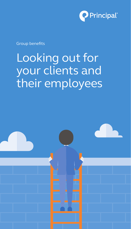

Group benefits

## Looking out for your clients and their employees

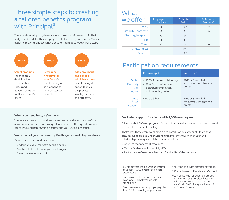### Three simple steps to creating a tailored benefits program with Principal<sup>®</sup>

Your clients want quality benefits. And those benefits need to fit their budget and work for their employees. That's where you come in. You can easily help clients choose what's best for them. Just follow these steps:



### What

| we offer                | Employer-paid<br>3+ lives | Voluntary<br>5+ lives      | Self-funded<br>$50+$ lives <sup>1</sup> |
|-------------------------|---------------------------|----------------------------|-----------------------------------------|
| Dental                  | $\frac{1}{2}$             | $\frac{1}{24}$ 3           | 榛                                       |
| Disability, short-term  | $\frac{4}{20}$ 2          | $\frac{1}{2}$              | 榛                                       |
| Disability, long-term   | $\frac{4}{20}$            | $\sigma_{\rm eff}^{\rm R}$ |                                         |
| Life                    | $\frac{1}{2}$ 2           | $\sigma_{\rm eff}^{\rm R}$ |                                         |
| <b>Vision</b>           | $\frac{4}{20}$ 2          | $\frac{1}{2}$              | 榛                                       |
| <b>Critical illness</b> |                           | $\clubsuit$ 4, 5           |                                         |
| Accident                |                           | $\frac{4}{20}$ 4           |                                         |

### Participation requirements

|                                                             | Employer-paid                                                                                             | Voluntary <sup>6</sup>                                  |
|-------------------------------------------------------------|-----------------------------------------------------------------------------------------------------------|---------------------------------------------------------|
| Dental<br><b>Disability</b><br><b>Life</b><br><b>Vision</b> | • 100% for non-contributory<br>• 75% for contributory or<br>3 enrolled employees,<br>whichever is greater | 20% or 5 enrolled<br>employees, whichever is<br>greater |
| Critical<br>illness<br>Accident                             | Not available                                                                                             | 10% or 5 enrolled<br>employees, whichever is<br>greater |

#### **When you need help, we're there**

You receive the support and resources needed to be at the top of your game. And your clients receive quick responses to their questions and concerns. Need help? Start by contacting your local sales office.

#### **We're part of your community. We live, work and play beside you.**

Being in your market allows us to:

- **•**  Understand your market's specific needs
- **•**  Create solutions to solve your challenges
- **•**  Develop close relationships

#### **Dedicated support for clients with 1,000+ employees**

Clients with 1,000+ employees often need extra assistance to create and maintain a competitive benefits package.

That's why these employers have a dedicated National Accounts team that includes a specialized underwriting unit, implementation manager and relationship manager. Available services include:

- **•**  Absence management resources
- **•**  Online Evidence of Insurability (EOI)
- **•**  Performance Guarantee Program for the life of the contract
- 1 50 employees if sold with an insured coverage; 1,000 employees if sold standalone.
- <sup>2</sup> 3 employees if sold with another coverage; 5 employees if sold standalone.
- <sup>3</sup> 5 employees when employer pays less than 50% of employee premium.
- 4 Must be sold with another coverage.
- <sup>5</sup> 50 employees in Florida and Vermont.
- <sup>6</sup> Can be waived for qualified groups. A minimum of 3 enrolled lives per voluntary coverage required. In New York, 50% of eligible lives or 5, whichever is fewer.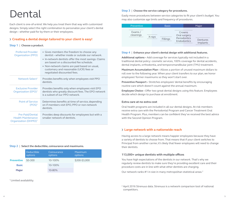## Dental

Each client is one-of-a-kind. We help you treat them that way with customized designs. Simply select the right combination to personalize your client's dental design – whether paid for by them or their employees.

#### **› Creating a dental design tailored to your client is easy!**

#### **Step 1** | **Choose a product.**

| <b>Preferred Provider</b><br><b>Organization (PPO)</b>                           | • Gives members the freedom to choose any<br>dentist – whether inside or outside our network.<br>• In-network dentists offer the most savings. Claims<br>are based on a discounted fee schedule.<br>• Non-network claims are paid based on usual,<br>customary and reasonable (UCR) fees or<br>negotiated discounted fees. |
|----------------------------------------------------------------------------------|----------------------------------------------------------------------------------------------------------------------------------------------------------------------------------------------------------------------------------------------------------------------------------------------------------------------------|
| Network Select <sup>1</sup>                                                      | Provides benefits only when employees visit PPO<br>dentists.                                                                                                                                                                                                                                                               |
| <b>Exclusive Provider</b><br>Organization (EPO) <sup>1</sup>                     | Provides benefits only when employees visit EPO<br>dentists who greatly discount fees. The EPO network<br>is a subset of our PPO network.                                                                                                                                                                                  |
| <b>Point of Service</b><br>$(POS)^1$                                             | Determines benefits at time of service, depending<br>on if members visit EPO, PPO or non-network<br>dentists.                                                                                                                                                                                                              |
| Pre-Paid/Dental<br><b>Health Maintenance</b><br>Organization (DHMO) <sup>1</sup> | Provides deep discounts for employees but with a<br>smaller network of dentists.                                                                                                                                                                                                                                           |

#### **Step 2** | **Select the deductible, coinsurance and maximums.**

|                   | <b>Deductible</b><br>options | Coinsurance<br>options | Maximum<br>options |
|-------------------|------------------------------|------------------------|--------------------|
| <b>Preventive</b> | $$0-300$                     | 10-100%                | \$200-\$3,000      |
| <b>Basic</b>      |                              | 10-100%                |                    |
| <b>Major</b>      |                              | 10-80%                 |                    |

<sup>1</sup> Limited availability.

#### **Step 3** | **Choose the service category for procedures.**

Easily move procedures between service categories to fit your client's budget. You may also customize age limits and frequency of procedures.



#### **Step 4** | **Enhance your client's dental design with additional features.**

**Additional options –** Add coverage for services typically not included in a traditional dental policy: cosmetic services, 100% coverage for dental accidents, dental implants, orthodontia, and temporomandibular joint (TMJ) treatment.

**Maximum Accumulation Plan –** Allows a portion of unused maximum dollars to roll over to the following year. When your client transfers to our plan, we honor employees' former maximums so they won't start over.

**Preventive Passport –** Stretches employees' dental benefits by encouraging routine care which doesn't count against the annual maximum.

**Employee Choice –** Offer two great dental designs using this feature. Employees decide which design to purchase at enrollment.

#### **Extra care at no extra cost**

Oral health programs are included in all our dental designs. At-risk members receive extra care with the Periodontal Program and Cancer Treatment Oral Health Program. Plus, members can be confident they've received the best advice with the Second Opinion Program.

#### **› Large network with a nationwide reach**

Having access to a large network means happier employees because they have a variety of dentists to choose from. That means that if your client switches to Principal from another carrier, it's likely that fewer employees will need to change their dentists.

#### **113,000+ unique dentists with multiple offices**

You have high expectations of the dentists in our network. That's why we regularly review dentists to make sure they're providing excellent care and their procedure costs are in line with what other dentists are charging.

Our network ranks #1 in size in many metropolitan statistical areas.2

<sup>&</sup>lt;sup>2</sup> April 2016 Strenuus data. Strenuus is a network comparison tool of national competitors.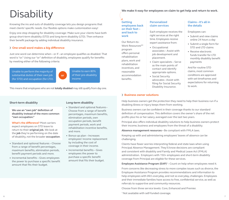# **Disability**

Knowing the ins and outs of disability coverage lets you design programs that meet clients' specific needs. Our flexible options make customization easy!

Enjoy one-stop shopping for disability coverage: Make sure your clients have both group short-term disability (STD) and long-term disability (LTD). Then enhance their benefit package by adding individual disability insurance.

#### **› One small word makes a big difference**

Just one word can determine when – or if – an employee qualifies as disabled. That word is "or." Using our "or" definition of disability, employees qualify for benefits by meeting either of the following criteria:

Unable to perform the majority of substantial duties of their own job (for STD) and occupation (for LTD).



Unable to earn 80% of their pre-disability income

This means that employees who are not **totally disabled** may still qualify from day one.

#### **Short-term disability**

**We use an "own job" definition of disability instead of the more common "own occupation."**

**What's the difference?** Most carriers expect employees on STD leave to return to their **original job.** We look at the **job** they're performing on the date of disability, not the broader **occupation**.

- **•**  Standard and optional features Choose from a range of benefit percentages, maximum benefits, elimination periods, benefit payment periods and more.
- **•**  Incremental benefits Gives employees the power to purchase a specific benefit amount that fits their budget.

#### **Long-term disability**

- **•**  Standard and optional features Choose from a range of benefit percentages, maximum benefits, elimination periods, own occupation periods, benefit payment periods, work and rehabilitation incentive benefits, and more.
- **•**  Bonus-up plan Increases employees' income replacement by including the cost of coverage in their income.
- **•**  Incremental benefits Gives employees the power to purchase a specific benefit amount that fits their budget.

**We make it easy for employees on claim to get help and return to work.** 

#### $\mathbf{E}$ **Getting employees back on their feet – and back to work**

Our Return-to-Work Resources<sup>SM</sup> program offers personal rehabilitation plans, work and rehabilitation incentives, and reasonable accommodation benefits.

#### **Personalized claim services**

Each employee receives the right services at the right time. Employees receive expert assistance from:

- **•**  Occupational associates – Assist with job development and placement.
- **•**  Claim specialists Serve as the main points of contact and identify appropriate options.
- **•**  Social Security advocates– Assist with filing for Social Security Disability Insurance.

#### **Claims – it's all in the details**

Employees can:

- **•**  Submit and view claims online 24 hours a day
- **•**  Submit a single form for STD and LTD claims
- **•**  Receive electronic funds transfer for LTD monthly disability benefit payments

And for routine STD claims, most common conditions are approved with set timeframes and expectations for returning to work.

#### **› Business owner solutions**

Help business owners get the protection they need to help their business run if a disabling illness or injury keeps them from working.

Business owners can be confident in their coverage thanks to our standard definition of compensation. This definition covers the owner's share of the net profits plus his or her salary, averaged over the last two years.

Principal also offers individual disability solutions to help business owners protect their income, business and employees from the threat of a disability.

**Absence management resources –** Be compliant with FMLA laws.

Keeping up with and administering employees' leaves of absence can be challenging.

Clients have fewer worries interpreting federal and state laws when using Principal Absence Management. They'll know decisions are compliant and consistent with disability and Family and Medical Leave Act (FMLA) administration. Employers with 150+ employees and short-term disability coverage from Principal are eligible for these services.

**Employee Assistance Program (EAP)<sup>1</sup>** – Count on help when employees need it.

From concerns like decreasing stress to more complex issues such as divorce, the Employee Assistance Program provides recommendations and information to help employees with life's everyday, and not so everyday, challenges. Employees and their immediate families have access to free, confidential service, as well as referrals to supportive and community resources.

Choose from three service levels: Core, Enhanced and Premier.

<sup>1</sup> Not available with self-funded coverage.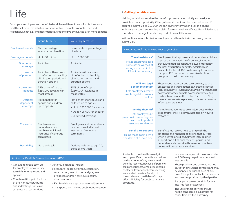## Life

Employers, employees and beneficiaries all have different needs for life insurance. Find the solution that satisfies everyone with our flexible products. Then add Accidental Death & Dismemberment coverage to give employees even more benefits.

|                                   | <b>Group Term Life</b>                                                                                 | <b>Voluntary Term Life</b>                                                                                                                    |
|-----------------------------------|--------------------------------------------------------------------------------------------------------|-----------------------------------------------------------------------------------------------------------------------------------------------|
| <b>Employee benefits</b>          | Flat, percentage of<br>salary or combination                                                           | Increments or percentage<br>of salary                                                                                                         |
| Coverage amounts                  | Up to \$1 million                                                                                      | Up to \$500,000                                                                                                                               |
| Guaranteed<br>coverage            | Available                                                                                              | Available                                                                                                                                     |
| Waiver<br>of premium              | Available with a choice<br>of definition of disability,<br>elimination periods and<br>duration options | Available with a choice<br>of definition of disability,<br>elimination periods and<br>duration options                                        |
| Accelerated<br>benefits           | 75% of benefit up to<br>\$250,000 <sup>1</sup> (available in<br>most states)                           | 75% of benefit up to<br>\$250,000 <sup>1</sup> (available in<br>most states)                                                                  |
| Optional<br>dependent<br>coverage | Flat benefits for<br>spouse and children<br>up to age 26                                               | Flat benefits for spouse and<br>children up to age 26<br>• Up to \$250,000 for spouse<br>• Up to \$25,000 for children<br>Guaranteed coverage |
| Conversion                        | <b>Employees and</b><br>dependents can<br>purchase individual<br>insurance if coverage<br>terminates.  | Employees and dependents<br>can purchase individual<br>insurance if coverage<br>terminates.                                                   |
| <b>Portability</b>                | Not applicable                                                                                         | Options include: to age 70,<br>three or five-years                                                                                            |

#### Accidental Death & Dismemberment (AD&D)2

- **•**  Can add to group term life for employees or voluntary term life for employees and spouses
- **•**  Core benefit is paid for loss of life, hands, feet, thumb and index finger, or vision as a result of an accident
- **•**  Optional packages include:
	- **›** Standard– seatbelt/airbag, education, repatriation, loss of use/paralysis, loss of speech and/or hearing, exposure, disappearance
- **›** Family– child care, spouse career adjustment
- **›** Transportation– helmet, public transportation

**› Getting benefits sooner**

Helping individuals receive the benefits promised – as quickly and easily as possible – is our top priority. Often, a benefit check can be received sooner. For qualified claims up to \$50,000, we can gather information over the phone – without your client submitting a claim form or death certificate. Beneficiaries are then able to manage financial responsibilities a little easier.

With online claim submission, employers and beneficiaries can easily submit claims 24/7.

#### Extra features $3 - at$  no extra cost to your client

| Travel assistance <sup>4</sup><br>Helps employees ease<br>some of the worries of<br>traveling - whether in the<br>U.S. or internationally. | Employees, their spouses and dependent children<br>have access to a variety of services, including<br>travel and medical assistance plus emergency<br>medical evacuation benefits. Assistance is<br>available for travel 100+ miles away from home<br>for up to 120 consecutive days. Available with<br>group term life insurance only.                        |
|--------------------------------------------------------------------------------------------------------------------------------------------|----------------------------------------------------------------------------------------------------------------------------------------------------------------------------------------------------------------------------------------------------------------------------------------------------------------------------------------------------------------|
| <b>Will and legal</b><br>document center <sup>5</sup><br>Lets employees create<br>simple legal documents<br>online.                        | These online resources and tools are easy-to-use.<br>Employees and their spouses can create essential<br>legal documents - such as a will, living will, healthcare<br>power of attorney, durable power of attorney, and<br>medical treatment authorization for minors. Plus,<br>they can access estate planning tools and a personal<br>information organizer. |
| Identity theft kit <sup>5</sup><br>Lets employees be<br>proactive in protecting one<br>of their most important<br>assets-their identity.   | If employees' identities are stolen, despite their<br>best efforts, they'll get valuable tips on how to<br>restore it.                                                                                                                                                                                                                                         |
| <b>Beneficiary support</b><br>Helps those coping with<br>the death of a loved one.                                                         | Beneficiaries receive help coping with the<br>emotions and financial decisions that surface<br>when a loved one dies. Services include grief<br>support and a financial review. Spouses and<br>dependents also receive three months of free<br>online will preparation services.                                                                               |

<sup>1</sup> Available to qualified terminally ill employees. Death benefits are reduced by the amount of any accelerated benefits received. Because of possible tax consequences, employees should contact a tax advisor before receiving accelerated benefits. Receipt of the accelerated death benefit may affect eligibility for public assistance programs.

- <sup>2</sup> In some states, certain provisions listed as AD&D may be paid as a personal loss benefit.
- <sup>3</sup> These products and services are not part of the insurance contract and may be changed or discontinued at any time. Principal is not liable for products and services provided by third parties.
- 4 Participants are responsible for any incurred fees or expenses.
- $\frac{8}{9}$ <sup>5</sup> The use of these services should not be considered a substitute for consultation with an attorney.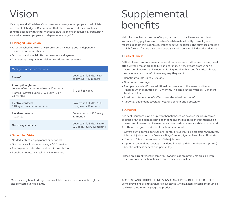## Vision

It's simple and affordable. Vision insurance is easy for employers to administer and can fit all budgets. Recommend that clients round out their employee benefits package with either managed care vision or scheduled coverage. Both are available to employees and dependents to age 26.

#### **› Managed Care Vision**

- **•**  An established network of VSP providers, including both independent providers and retail chains
- **•**  Discounts and special offers on name-brand eyewear
- **•**  Cost savings on qualifying vision procedures and screenings

| <b>Managed Care Vision features</b>                                                                                               |                                                             |
|-----------------------------------------------------------------------------------------------------------------------------------|-------------------------------------------------------------|
| Exams <sup>1</sup>                                                                                                                | Covered in full after \$10<br>copay every 12 months         |
| <b>Prescription glasses</b><br>Lenses - One pair covered every 12 months<br>Frames - Covered up to \$150 every 12 or<br>24 months | \$10 or \$25 copay                                          |
| <b>Elective contacts</b><br>Fitting and evaluation services                                                                       | Covered in full after \$60<br>copay every 12 months         |
| Elective contacts<br>Materials                                                                                                    | Covered up to \$150 every<br>12 months                      |
| Necessary contacts                                                                                                                | Covered in full after \$10 or<br>\$25 copay every 12 months |

#### **› Scheduled Vision**

- **•**  No deductibles, co-payments or networks
- **•**  Discounts available when using a VSP provider
- **•**  Employees can visit the provider of their choice
- **•**  Benefit amounts available in \$5 increments

## Supplemental benefits

Help clients enhance their benefits program with critical illness and accident insurance. They pay lump-sum tax-free<sup>1</sup> cash benefits directly to employees, regardless of other insurance coverages or actual expenses. The purchase process is straightforward for employers and employees with our simplified product designs.

#### **› Critical illness**

Critical illness insurance covers the most common serious illnesses: cancer, heart attack, stroke, major organ failure and coronary artery bypass graft. When a covered employee or family member is diagnosed with a specific critical illness, they receive a cash benefit to use any way they want.

- Benefit amounts up to \$100,000.
- **•**  Guaranteed coverage.
- **•**  Multiple payouts Covers additional occurrences of the same or different illnesses when separated by 12 months. The same illness must be 12 months treatment free.
- **•**  Maximum lifetime benefit Two times the scheduled benefit.
- **•**  Optional: dependent coverage, wellness benefit and portability.

#### **› Accident**

Accident insurance pays an up-front benefit based on covered injuries received because of an accident. It's not dependent on services, tests or treatments, so a covered employee or family member can get paid right away with less paperwork. And there's no guesswork about the benefit amount.

- **•**  Covers burns, comas, concussions, dental or eye injuries, dislocations, fractures, internal injuries, and disc/knee cartilage/tendon/ligament/rotator cuff injuries.
- Choice of 24-hour coverage or off-the-job only.
- **•**  Optional: dependent coverage, accidental death and dismemberment (AD&D) benefit, wellness benefit and portability.

<sup>1</sup> Based on current federal income tax laws, if insurance premiums are paid with after-tax dollars, the benefits are received income-tax-free.

<sup>1</sup> Materials only benefit designs are available that include prescription glasses and contacts but not exams.

ACCIDENT AND CRITICAL ILLNESS INSURANCE PROVIDE LIMITED BENEFITS. Some provisions are not available in all states. Critical illness or accident must be sold with another Principal group product.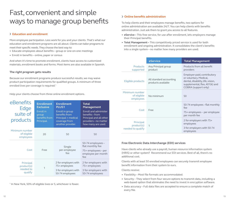### Fast, convenient and simple ways to manage group benefits

#### **› Education and enrollment**

More employee participation. Less work for you and your clients. That's what our education and enrollment programs are all about. Clients can tailor programs to meet their specific needs. They choose the best way to:

- **•**  Educate employees about benefits group or one-on-one meetings
- **•**  Enroll in benefits online, paper or census

And when it's time to promote enrollment, clients have access to customized materials, enrollment books and forms. Most items are also available in Spanish.

#### **The right program gets results**

Because our enrollment programs produce successful results, we may waive product participation requirements for qualified groups. A minimum of three enrolled lives per coverage is required.<sup>1</sup>

Help your clients choose from three online enrollment options.

| eBenefits<br>Edge<br>suite of<br>products       | <b>Enrollment</b><br><b>Exclusive</b><br>Enroll in<br>group<br>benefits from<br>Principal. | <b>Enrollment</b><br><b>PLUS1</b><br>Enroll in group<br>benefits from<br>Principal + medical<br>coverage from<br>another provider. | <b>Total</b><br><b>Management</b><br><b>Enroll and administer</b><br>benefits-from<br>Principal and all other<br>providers-no matter<br>how many are used. |
|-------------------------------------------------|--------------------------------------------------------------------------------------------|------------------------------------------------------------------------------------------------------------------------------------|------------------------------------------------------------------------------------------------------------------------------------------------------------|
| Minimum number<br>of eligible<br>employees      | 20                                                                                         | 50                                                                                                                                 | 50                                                                                                                                                         |
| Cost                                            | Free                                                                                       | Single<br>per-employee<br>fee                                                                                                      | 50-74 employees -<br>flat monthly fee<br>75+ employees - per<br>employee per month<br>fee                                                                  |
| Principal<br>product(s)<br>needed to<br>qualify | 1                                                                                          | 2 for employers with<br>75+ employees<br>3 for employers with<br>50-74 employees                                                   | 2 for employers with<br>75+ employees<br>3 for employers with<br>50-74 employees                                                                           |

<sup>1</sup> In New York, 50% of eligible lives or 5, whichever is fewer.

#### **› Online benefits administration**

To help clients and their employees manage benefits, two options for online administration are available 24/7. You can help clients with benefits administration. Just ask them to grant you access to all features.

- **eService -** This free service, for use after enrollment, lets employers manage their Principal benefits.
- **Total Management -** This competitively priced service is used for both enrollment and ongoing administration. It consolidates the client's benefits into a single system – no matter how many providers are used.

|                                              | eService                                      | <b>Total Management</b>                                                                                                                              |
|----------------------------------------------|-----------------------------------------------|------------------------------------------------------------------------------------------------------------------------------------------------------|
| <b>Products</b><br>supported                 | Any Principal group<br>product                | Products from all benefit<br>providers                                                                                                               |
| Eligible products                            | All standard accounting<br>products available | Employer-paid, contributory<br>or voluntary. Medical,<br>dental, disability, life, vision,<br>supplemental, flex, 401(k) and<br>COBRA (support only) |
| Minimum number<br>of eligible<br>employees   | No minimum                                    | 50                                                                                                                                                   |
| Cost                                         | Free                                          | 50-74 employees – flat monthly<br>fee<br>75+ employees - per employee<br>per month fee                                                               |
| Principal<br>product(s)<br>needed to qualify | 1                                             | 2 for employers with 75+<br>employees<br>3 for employers with 50-74<br>employees                                                                     |

#### **Free Electronic Data Interchange (EDI) services**

Have clients who already use a payroll, human resource information system (HRIS) or other system? Recommend our EDI services. Best of all, there's no additional cost.

Clients with at least 50 enrolled employees can securely transmit employee benefit information from their system to ours.

Clients receive:

- **•**  Flexibility Most file formats are accommodated.
- **•**  Security They select from four secure options to transmit data, including a web-based option that eliminates the need to invest in encryption software.
- **•**  Data accuracy Full data files are accepted to ensure a complete match of every file.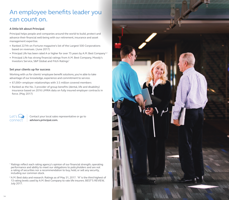### An employee benefits leader you can count on.

#### **A little bit about Principal**

Principal helps people and companies around the world to build, protect and advance their financial well-being with our retirement, insurance and asset management expertise.

- Ranked 227th on Fortune magazine's list of the Largest 500 Corporations based on revenues. (June 2017)
- Principal Life has been rated A or higher for over 75 years by A.M. Best Company<sup>1,2</sup>
- **•**  Principal Life has strong financial ratings from A.M. Best Company, Moody's Investors Service, S&P Global and Fitch Ratings<sup>1</sup>

#### **Set your clients up for success**

Working with us for clients' employee benefit solutions, you're able to take advantage of our knowledge, experience and commitment to service.

- **•**  67,000+ employer relationships with 3.5 million covered members
- Ranked as the No. 3 provider of group benefits (dental, life and disability) insurance based on 2016 LIMRA data on fully insured employer contracts in force. (May 2017)



Contact your local sales representative or go to **advisors.principal.com.** 

<sup>1</sup> Ratings reflect each rating agency's opinion of our financial strength, operating performance and ability to meet our obligations to policyholders and are not a rating of securities nor a recommendation to buy, hold, or sell any security, including our common stock.

<sup>2</sup> A.M. Best data and research. Ratings as of May 31, 2017. "A" is the third highest of 13 rating levels used by A.M. Best Company to rate life insurers. BEST'S REVIEW, July 2017.